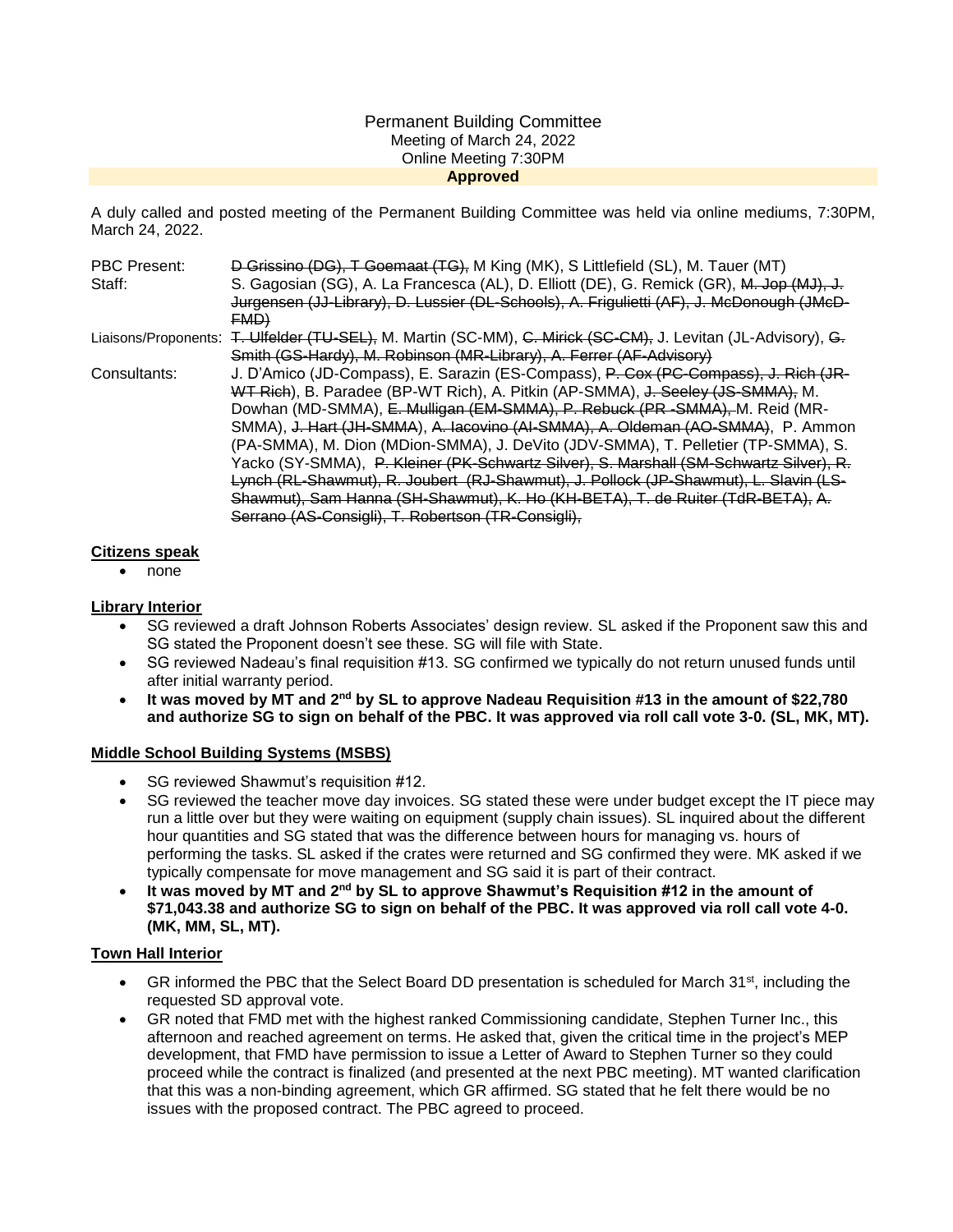### Permanent Building Committee Meeting of March 24, 2022 Online Meeting 7:30PM **Approved**

A duly called and posted meeting of the Permanent Building Committee was held via online mediums, 7:30PM, March 24, 2022.

| <b>PBC Present:</b> | D Grissino (DG), T Goemaat (TG), M King (MK), S Littlefield (SL), M. Tauer (MT)                               |
|---------------------|---------------------------------------------------------------------------------------------------------------|
| Staff:              | S. Gagosian (SG), A. La Francesca (AL), D. Elliott (DE), G. Remick (GR), M. Jop (MJ), J.                      |
|                     | Jurgensen (JJ-Library), D. Lussier (DL-Schools), A. Frigulietti (AF), J. McDonough (JMcD-                     |
|                     | <b>EMD)</b>                                                                                                   |
|                     | Liaisons/Proponents: T. Ulfelder (TU-SEL), M. Martin (SC-MM), C. Mirick (SC-CM), J. Levitan (JL-Advisory), G. |
|                     | Smith (GS-Hardy), M. Robinson (MR-Library), A. Ferrer (AF-Advisory)                                           |
| Consultants:        | J. D'Amico (JD-Compass), E. Sarazin (ES-Compass), P. Cox (PC-Compass), J. Rich (JR-                           |
|                     | WT Rich), B. Paradee (BP-WT Rich), A. Pitkin (AP-SMMA), J. Seeley (JS-SMMA), M.                               |
|                     | Dowhan (MD-SMMA), E. Mulligan (EM-SMMA), P. Rebuck (PR -SMMA), M. Reid (MR-                                   |
|                     | SMMA), J. Hart (JH-SMMA), A. Iacovino (AI-SMMA), A. Oldeman (AO-SMMA), P. Ammon                               |
|                     | (PA-SMMA), M. Dion (MDion-SMMA), J. DeVito (JDV-SMMA), T. Pelletier (TP-SMMA), S.                             |
|                     | Yacko (SY-SMMA), P. Kleiner (PK-Schwartz Silver), S. Marshall (SM-Schwartz Silver), R.                        |
|                     | Lynch (RL-Shawmut), R. Joubert (RJ-Shawmut), J. Pollock (JP-Shawmut), L. Slavin (LS-                          |
|                     | Shawmut), Sam Hanna (SH-Shawmut), K. Ho (KH-BETA), T. de Ruiter (TdR-BETA), A.                                |
|                     | Serrano (AS-Consigli), T. Robertson (TR-Consigli),                                                            |

### **Citizens speak**

none

## **Library Interior**

- SG reviewed a draft Johnson Roberts Associates' design review. SL asked if the Proponent saw this and SG stated the Proponent doesn't see these. SG will file with State.
- SG reviewed Nadeau's final requisition #13. SG confirmed we typically do not return unused funds until after initial warranty period.
- **It was moved by MT and 2nd by SL to approve Nadeau Requisition #13 in the amount of \$22,780 and authorize SG to sign on behalf of the PBC. It was approved via roll call vote 3-0. (SL, MK, MT).**

### **Middle School Building Systems (MSBS)**

- SG reviewed Shawmut's requisition #12.
- SG reviewed the teacher move day invoices. SG stated these were under budget except the IT piece may run a little over but they were waiting on equipment (supply chain issues). SL inquired about the different hour quantities and SG stated that was the difference between hours for managing vs. hours of performing the tasks. SL asked if the crates were returned and SG confirmed they were. MK asked if we typically compensate for move management and SG said it is part of their contract.
- It was moved by MT and 2<sup>nd</sup> by SL to approve Shawmut's Requisition #12 in the amount of **\$71,043.38 and authorize SG to sign on behalf of the PBC. It was approved via roll call vote 4-0. (MK, MM, SL, MT).**

## **Town Hall Interior**

- GR informed the PBC that the Select Board DD presentation is scheduled for March 31<sup>st</sup>, including the requested SD approval vote.
- GR noted that FMD met with the highest ranked Commissioning candidate, Stephen Turner Inc., this afternoon and reached agreement on terms. He asked that, given the critical time in the project's MEP development, that FMD have permission to issue a Letter of Award to Stephen Turner so they could proceed while the contract is finalized (and presented at the next PBC meeting). MT wanted clarification that this was a non-binding agreement, which GR affirmed. SG stated that he felt there would be no issues with the proposed contract. The PBC agreed to proceed.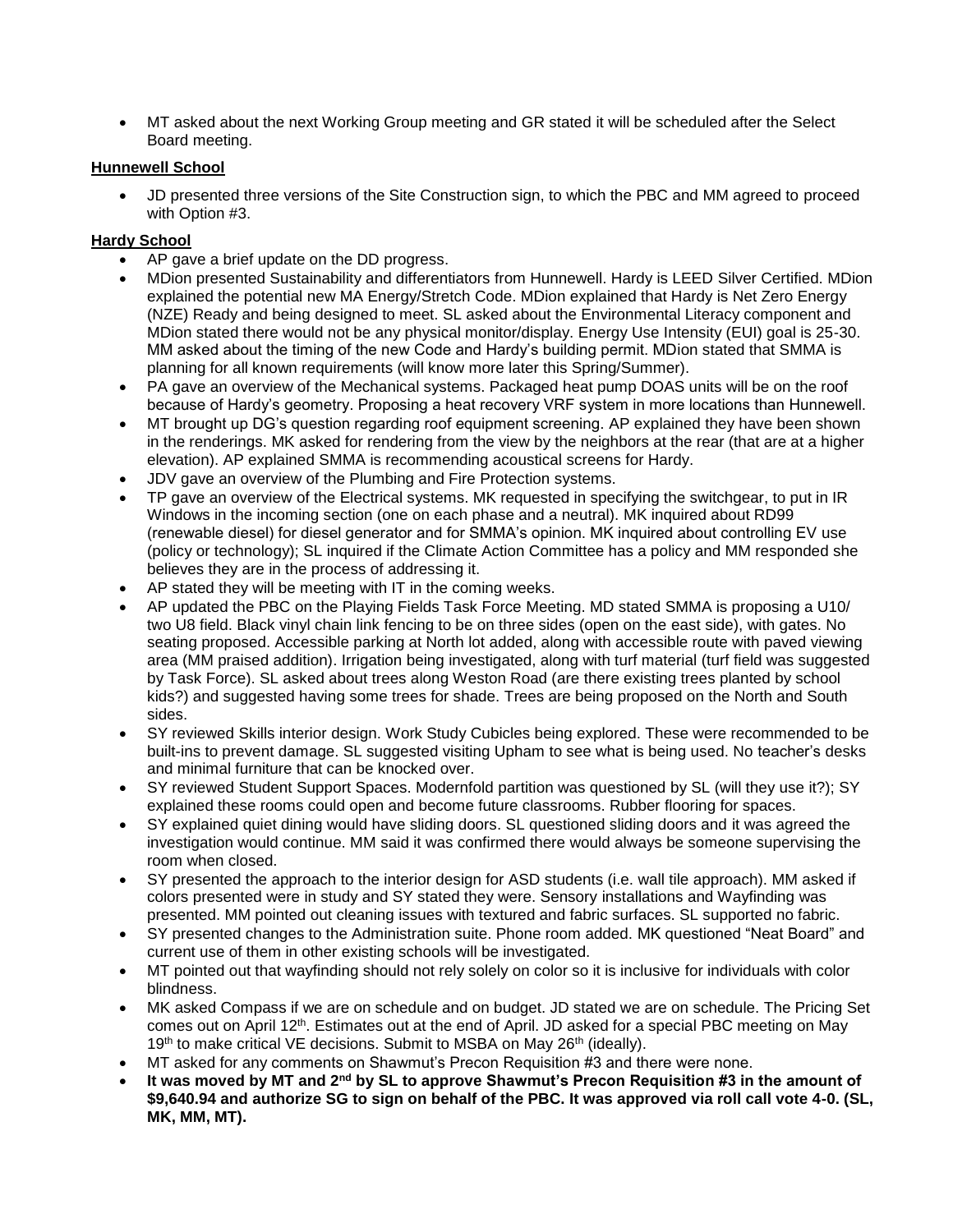MT asked about the next Working Group meeting and GR stated it will be scheduled after the Select Board meeting.

## **Hunnewell School**

 JD presented three versions of the Site Construction sign, to which the PBC and MM agreed to proceed with Option #3.

# **Hardy School**

- AP gave a brief update on the DD progress.
- MDion presented Sustainability and differentiators from Hunnewell. Hardy is LEED Silver Certified. MDion explained the potential new MA Energy/Stretch Code. MDion explained that Hardy is Net Zero Energy (NZE) Ready and being designed to meet. SL asked about the Environmental Literacy component and MDion stated there would not be any physical monitor/display. Energy Use Intensity (EUI) goal is 25-30. MM asked about the timing of the new Code and Hardy's building permit. MDion stated that SMMA is planning for all known requirements (will know more later this Spring/Summer).
- PA gave an overview of the Mechanical systems. Packaged heat pump DOAS units will be on the roof because of Hardy's geometry. Proposing a heat recovery VRF system in more locations than Hunnewell.
- MT brought up DG's question regarding roof equipment screening. AP explained they have been shown in the renderings. MK asked for rendering from the view by the neighbors at the rear (that are at a higher elevation). AP explained SMMA is recommending acoustical screens for Hardy.
- JDV gave an overview of the Plumbing and Fire Protection systems.
- TP gave an overview of the Electrical systems. MK requested in specifying the switchgear, to put in IR Windows in the incoming section (one on each phase and a neutral). MK inquired about RD99 (renewable diesel) for diesel generator and for SMMA's opinion. MK inquired about controlling EV use (policy or technology); SL inquired if the Climate Action Committee has a policy and MM responded she believes they are in the process of addressing it.
- AP stated they will be meeting with IT in the coming weeks.
- AP updated the PBC on the Playing Fields Task Force Meeting. MD stated SMMA is proposing a U10/ two U8 field. Black vinyl chain link fencing to be on three sides (open on the east side), with gates. No seating proposed. Accessible parking at North lot added, along with accessible route with paved viewing area (MM praised addition). Irrigation being investigated, along with turf material (turf field was suggested by Task Force). SL asked about trees along Weston Road (are there existing trees planted by school kids?) and suggested having some trees for shade. Trees are being proposed on the North and South sides.
- SY reviewed Skills interior design. Work Study Cubicles being explored. These were recommended to be built-ins to prevent damage. SL suggested visiting Upham to see what is being used. No teacher's desks and minimal furniture that can be knocked over.
- SY reviewed Student Support Spaces. Modernfold partition was questioned by SL (will they use it?); SY explained these rooms could open and become future classrooms. Rubber flooring for spaces.
- SY explained quiet dining would have sliding doors. SL questioned sliding doors and it was agreed the investigation would continue. MM said it was confirmed there would always be someone supervising the room when closed.
- SY presented the approach to the interior design for ASD students (i.e. wall tile approach). MM asked if colors presented were in study and SY stated they were. Sensory installations and Wayfinding was presented. MM pointed out cleaning issues with textured and fabric surfaces. SL supported no fabric.
- SY presented changes to the Administration suite. Phone room added. MK questioned "Neat Board" and current use of them in other existing schools will be investigated.
- MT pointed out that wayfinding should not rely solely on color so it is inclusive for individuals with color blindness.
- MK asked Compass if we are on schedule and on budget. JD stated we are on schedule. The Pricing Set comes out on April 12<sup>th</sup>. Estimates out at the end of April. JD asked for a special PBC meeting on May 19th to make critical VE decisions. Submit to MSBA on May 26th (ideally).
- MT asked for any comments on Shawmut's Precon Requisition #3 and there were none.
- **It was moved by MT and 2nd by SL to approve Shawmut's Precon Requisition #3 in the amount of \$9,640.94 and authorize SG to sign on behalf of the PBC. It was approved via roll call vote 4-0. (SL, MK, MM, MT).**